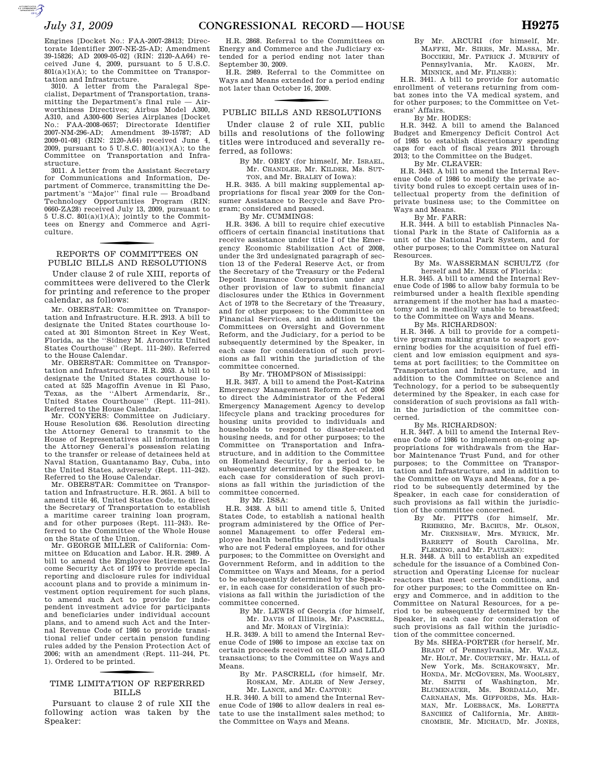cialist, Department of Transportation, transmitting the Department's final rule — Airworthiness Directives; Airbus Model A300, A310, and A300-600 Series Airplanes [Docket No.: FAA-2008-0657; Directorate Identifier FAA-2008-0657; Directorate Identifier 2007-NM-296-AD; Amendment 39-15787; AD 2009-01-08] (RIN: 2120-A64) received June 4, 2009, pursuant to 5 U.S.C. 801(a)(1)(A); to the Committee on Transportation and Infrastructure.

3011. A letter from the Assistant Secretary for Communications and Information, Department of Commerce, transmitting the Department's ''Major'' final rule — Broadband Technology Opportunities Program (RIN: 0660-ZA28) received July 13, 2009, pursuant to  $5 \text{ U.S.C. } 801(a)(1)(A);$  jointly to the Committees on Energy and Commerce and Agriculture.

### f REPORTS OF COMMITTEES ON PUBLIC BILLS AND RESOLUTIONS

Under clause 2 of rule XIII, reports of committees were delivered to the Clerk for printing and reference to the proper calendar, as follows:

Mr. OBERSTAR: Committee on Transportation and Infrastructure. H.R. 2913. A bill to designate the United States courthouse located at 301 Simonton Street in Key West, Florida, as the ''Sidney M. Aronovitz United States Courthouse'' (Rept. 111–240). Referred to the House Calendar.

Mr. OBERSTAR: Committee on Transportation and Infrastructure. H.R. 2053. A bill to designate the United States courthouse located at 525 Magoffin Avenue in El Paso, Texas, as the ''Albert Armendariz, Sr., United States Courthouse'' (Rept. 111–241). Referred to the House Calendar.

Mr. CONYERS: Committee on Judiciary. House Resolution 636. Resolution directing the Attorney General to transmit to the House of Representatives all information in the Attorney General's possession relating to the transfer or release of detainees held at Naval Station, Guantanamo Bay, Cuba, into the United States, adversely (Rept. 111–242). Referred to the House Calendar.

Mr. OBERSTAR: Committee on Transportation and Infrastructure. H.R. 2651. A bill to amend title 46, United States Code, to direct the Secretary of Transportation to establish a maritime career training loan program, and for other purposes (Rept. 111–243). Referred to the Committee of the Whole House on the State of the Union.

Mr. GEORGE MILLER of California: Committee on Education and Labor. H.R. 2989. A bill to amend the Employee Retirement Income Security Act of 1974 to provide special reporting and disclosure rules for individual account plans and to provide a minimum investment option requirement for such plans, to amend such Act to provide for independent investment advice for participants and beneficiaries under individual account plans, and to amend such Act and the Internal Revenue Code of 1986 to provide transitional relief under certain pension funding rules added by the Pension Protection Act of 2006; with an amendment (Rept. 111–244, Pt. 1). Ordered to be printed.

### f TIME LIMITATION OF REFERRED BILLS

Pursuant to clause 2 of rule XII the following action was taken by the Speaker:

H.R. 2868. Referral to the Committees on Energy and Commerce and the Judiciary extended for a period ending not later than September 30, 2009.

H.R. 2989. Referral to the Committee on Ways and Means extended for a period ending not later than October 16, 2009.

# PUBLIC BILLS AND RESOLUTIONS

Under clause 2 of rule XII, public bills and resolutions of the following titles were introduced and severally referred, as follows:

By Mr. OBEY (for himself, Mr. ISRAEL, Mr. CHANDLER, Mr. KILDEE, Ms. SUT-TON, and Mr. BRALEY of Iowa):

H.R. 3435. A bill making supplemental appropriations for fiscal year 2009 for the Consumer Assistance to Recycle and Save Program; considered and passed.

By Mr. CUMMINGS:

H.R. 3436. A bill to require chief executive officers of certain financial institutions that receive assistance under title I of the Emergency Economic Stabilization Act of 2008, under the 3rd undesignated paragraph of section 13 of the Federal Reserve Act, or from the Secretary of the Treasury or the Federal Deposit Insurance Corporation under any other provision of law to submit financial disclosures under the Ethics in Government Act of 1978 to the Secretary of the Treasury, and for other purposes; to the Committee on Financial Services, and in addition to the Committees on Oversight and Government Reform, and the Judiciary, for a period to be subsequently determined by the Speaker, in each case for consideration of such provisions as fall within the jurisdiction of the committee concerned.

By Mr. THOMPSON of Mississippi:

H.R. 3437. A bill to amend the Post-Katrina Emergency Management Reform Act of 2006 to direct the Administrator of the Federal Emergency Management Agency to develop lifecycle plans and tracking procedures for housing units provided to individuals and households to respond to disaster-related housing needs, and for other purposes; to the Committee on Transportation and Infrastructure, and in addition to the Committee on Homeland Security, for a period to be subsequently determined by the Speaker, in each case for consideration of such provisions as fall within the jurisdiction of the committee concerned.

By Mr. ISSA:

H.R. 3438. A bill to amend title 5, United States Code, to establish a national health program administered by the Office of Personnel Management to offer Federal employee health benefits plans to individuals who are not Federal employees, and for other purposes; to the Committee on Oversight and Government Reform, and in addition to the Committee on Ways and Means, for a period to be subsequently determined by the Speaker, in each case for consideration of such provisions as fall within the jurisdiction of the committee concerned.

By Mr. LEWIS of Georgia (for himself, Mr. DAVIS of Illinois, Mr. PASCRELL, and Mr. MORAN of Virginia):

H.R. 3439. A bill to amend the Internal Revenue Code of 1986 to impose an excise tax on certain proceeds received on SILO and LILO transactions; to the Committee on Ways and Means.

By Mr. PASCRELL (for himself, Mr. ROSKAM, Mr. ADLER of New Jersey, Mr. LANCE, and Mr. CANTOR):

H.R. 3440. A bill to amend the Internal Revenue Code of 1986 to allow dealers in real estate to use the installment sales method; to the Committee on Ways and Means.

By Mr. ARCURI (for himself, Mr. MAFFEI, Mr. SIRES, Mr. MASSA, Mr. BOCCIERI, Mr. PATRICK J. MURPHY of Pennsylvania, Mr. KAGEN, Mr. Pennsylvania, Mr. MINNICK, and Mr. FILNER):

H.R. 3441. A bill to provide for automatic enrollment of veterans returning from combat zones into the VA medical system, and for other purposes; to the Committee on Veterans' Affairs.

By Mr. HODES:

H.R. 3442. A bill to amend the Balanced Budget and Emergency Deficit Control Act of 1985 to establish discretionary spending caps for each of fiscal years 2011 through 2013; to the Committee on the Budget.

By Mr. CLEAVER:

H.R. 3443. A bill to amend the Internal Revenue Code of 1986 to modify the private activity bond rules to except certain uses of intellectual property from the definition of private business use; to the Committee on Ways and Means.

By Mr. FARR:

H.R. 3444. A bill to establish Pinnacles National Park in the State of California as a unit of the National Park System, and for other purposes; to the Committee on Natural Resources.

By Ms. WASSERMAN SCHULTZ (for herself and Mr. MEEK of Florida):

H.R. 3445. A bill to amend the Internal Revenue Code of 1986 to allow baby formula to be reimbursed under a health flexible spending arrangement if the mother has had a mastectomy and is medically unable to breastfeed; to the Committee on Ways and Means.

By Ms. RICHARDSON:

H.R. 3446. A bill to provide for a competitive program making grants to seaport governing bodies for the acquisition of fuel efficient and low emission equipment and systems at port facilities; to the Committee on Transportation and Infrastructure, and in addition to the Committee on Science and Technology, for a period to be subsequently determined by the Speaker, in each case for consideration of such provisions as fall within the jurisdiction of the committee concerned.

By Ms. RICHARDSON:

H.R. 3447. A bill to amend the Internal Revenue Code of 1986 to implement on-going appropriations for withdrawals from the Harbor Maintenance Trust Fund, and for other purposes; to the Committee on Transportation and Infrastructure, and in addition to the Committee on Ways and Means, for a period to be subsequently determined by the Speaker, in each case for consideration of such provisions as fall within the jurisdiction of the committee concerned.

By Mr. PITTS (for himself, Mr. REHBERG, Mr. BACHUS, Mr. OLSON, Mr. CRENSHAW, Mrs. MYRICK, Mr.<br>BARRETT of South Carolina. Mr. BARRETT of South Carolina, FLEMING, and Mr. PAULSEN):

H.R. 3448. A bill to establish an expedited schedule for the issuance of a Combined Construction and Operating License for nuclear reactors that meet certain conditions, and for other purposes; to the Committee on Energy and Commerce, and in addition to the Committee on Natural Resources, for a period to be subsequently determined by the Speaker, in each case for consideration of such provisions as fall within the jurisdiction of the committee concerned.

By Ms. SHEA-PORTER (for herself, Mr. BRADY of Pennsylvania, Mr. WALZ, Mr. HOLT, Mr. COURTNEY, Mr. HALL of New York, Ms. SCHAKOWSKY, Mr. HONDA, Mr. MCGOVERN, Ms. WOOLSEY,<br>Mr. SMITH of Washington. Mr. Mr. SMITH of Washington, BLUMENAUER, Ms. BORDALLO, Mr. CARNAHAN, Ms. GIFFORDS, Ms. HAR-MAN, Mr. LOEBSACK, Ms. LORETTA SANCHEZ of California, Mr. ABER-CROMBIE, Mr. MICHAUD, Mr. JONES,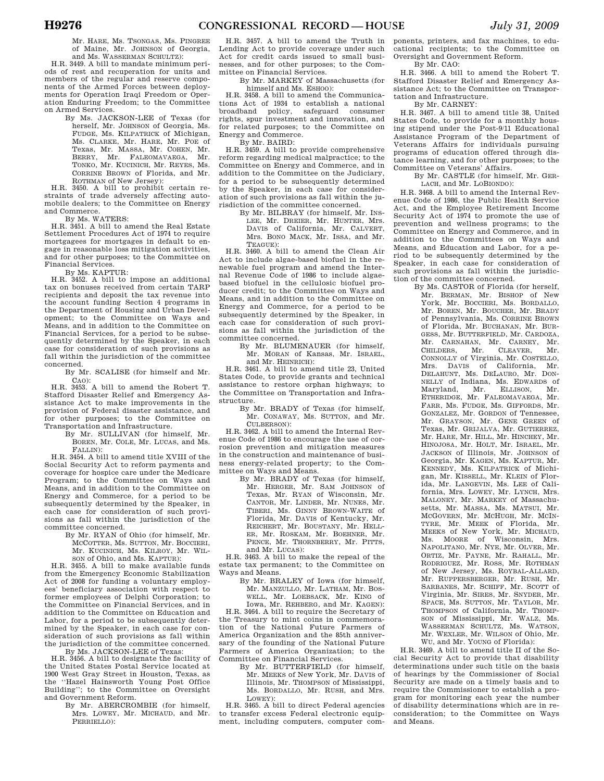Mr. HARE, Ms. TSONGAS, Ms. PINGREE of Maine, Mr. JOHNSON of Georgia, and Ms. WASSERMAN SCHULTZ):

H.R. 3449. A bill to mandate minimum periods of rest and recuperation for units and members of the regular and reserve components of the Armed Forces between deployments for Operation Iraqi Freedom or Operation Enduring Freedom; to the Committee on Armed Services.

By Ms. JACKSON-LEE of Texas (for herself, Mr. JOHNSON of Georgia, Ms. FUDGE, Ms. KILPATRICK of Michigan, Ms. CLARKE, Mr. HARE, Mr. POE of Texas, Mr. MASSA, Mr. COHEN, Mr. BERRY, Mr. FALEOMAVAEGA, Mr. TONKO, Mr. KUCINICH, Mr. REYES, Ms. CORRINE BROWN of Florida, and Mr. ROTHMAN of New Jersey):

H.R. 3450. A bill to prohibit certain re-straints of trade adversely affecting automobile dealers; to the Committee on Energy and Commerce.

By Ms. WATERS:

H.R. 3451. A bill to amend the Real Estate Settlement Procedures Act of 1974 to require mortgagees for mortgages in default to engage in reasonable loss mitigation activities, and for other purposes; to the Committee on Financial Services.

By Ms. KAPTUR: H.R. 3452. A bill to impose an additional tax on bonuses received from certain TARP recipients and deposit the tax revenue into the account funding Section 4 programs in the Department of Housing and Urban Development; to the Committee on Ways and Means, and in addition to the Committee on Financial Services, for a period to be subsequently determined by the Speaker, in each case for consideration of such provisions as fall within the jurisdiction of the committee concerned.

By Mr. SCALISE (for himself and Mr. CAO):

H.R. 3453. A bill to amend the Robert T. Stafford Disaster Relief and Emergency Assistance Act to make improvements in the provision of Federal disaster assistance, and for other purposes; to the Committee on Transportation and Infrastructure.

By Mr. SULLIVAN (for himself, Mr. BOREN, Mr. COLE, Mr. LUCAS, and Ms. FALLIN):

H.R. 3454. A bill to amend title XVIII of the Social Security Act to reform payments and coverage for hospice care under the Medicare Program; to the Committee on Ways and Means, and in addition to the Committee on Energy and Commerce, for a period to be subsequently determined by the Speaker, in each case for consideration of such provisions as fall within the jurisdiction of the committee concerned.

> By Mr. RYAN of Ohio (for himself, Mr. MCCOTTER, Ms. SUTTON, Mr. BOCCIERI, Mr. KUCINICH, Ms. KILROY, Mr. WIL-

SON of Ohio, and Ms. KAPTUR): H.R. 3455. A bill to make available funds from the Emergency Economic Stabilization Act of 2008 for funding a voluntary employees' beneficiary association with respect to former employees of Delphi Corporation; to the Committee on Financial Services, and in addition to the Committee on Education and Labor, for a period to be subsequently determined by the Speaker, in each case for consideration of such provisions as fall within the jurisdiction of the committee concerned.

By Ms. JACKSON-LEE of Texas: H.R. 3456. A bill to designate the facility of the United States Postal Service located at 1900 West Gray Street in Houston, Texas, as the ''Hazel Hainsworth Young Post Office Building''; to the Committee on Oversight and Government Reform.

By Mr. ABERCROMBIE (for himself, Mrs. LOWEY, Mr. MICHAUD, and Mr. PERRIELLO):

H.R. 3457. A bill to amend the Truth in Lending Act to provide coverage under such Act for credit cards issued to small businesses, and for other purposes; to the Committee on Financial Services.

By Mr. MARKEY of Massachusetts (for himself and Ms. ESHOO):

H.R. 3458. A bill to amend the Communications Act of 1934 to establish a national broadband policy, safeguard consumer rights, spur investment and innovation, and for related purposes; to the Committee on Energy and Commerce.

By Mr. BAIRD:

H.R. 3459. A bill to provide comprehensive reform regarding medical malpractice; to the Committee on Energy and Commerce, and in addition to the Committee on the Judiciary, for a period to be subsequently determined by the Speaker, in each case for consideration of such provisions as fall within the jurisdiction of the committee concerned.

By Mr. BILBRAY (for himself, Mr. INS-LEE, Mr. DREIER, Mr. HUNTER, Mrs. DAVIS of California, Mr. CALVERT, Mrs. BONO MACK, Mr. ISSA, and Mr. TEAGUE):

H.R. 3460. A bill to amend the Clean Air Act to include algae-based biofuel in the renewable fuel program and amend the Internal Revenue Code of 1986 to include algaebased biofuel in the cellulosic biofuel producer credit; to the Committee on Ways and Means, and in addition to the Committee on Energy and Commerce, for a period to be subsequently determined by the Speaker, in each case for consideration of such provisions as fall within the jurisdiction of the committee concerned.

By Mr. BLUMENAUER (for himself, Mr. MORAN of Kansas, Mr. ISRAEL, and Mr. HEINRICH):

H.R. 3461. A bill to amend title 23, United States Code, to provide grants and technical assistance to restore orphan highways; to the Committee on Transportation and Infrastructure.

By Mr. BRADY of Texas (for himself, Mr. CONAWAY, Ms. SUTTON, and Mr. CULBERSON):

H.R. 3462. A bill to amend the Internal Revenue Code of 1986 to encourage the use of corrosion prevention and mitigation measures in the construction and maintenance of business energy-related property; to the Committee on Ways and Means.

By Mr. BRADY of Texas (for himself, Mr. HERGER, Mr. SAM JOHNSON of Texas, Mr. RYAN of Wisconsin, Mr. CANTOR, Mr. LINDER, Mr. NUNES, Mr. TIBERI, Ms. GINNY BROWN-WAITE of Florida, Mr. DAVIS of Kentucky, Mr. REICHERT, Mr. BOUSTANY, Mr. HELL-ER, Mr. ROSKAM, Mr. BOEHNER, Mr. PENCE, Mr. THORNBERRY, Mr. PITTS, and Mr. LUCAS):

H.R. 3463. A bill to make the repeal of the estate tax permanent; to the Committee on Ways and Means.

By Mr. BRALEY of Iowa (for himself, Mr. MANZULLO, Mr. LATHAM, Mr. BOS-WELL, Mr. LOEBSACK, Mr. KING of Iowa, Mr. REHBERG, and Mr. KAGEN):

H.R. 3464. A bill to require the Secretary of the Treasury to mint coins in commemoration of the National Future Farmers of America Organization and the 85th anniversary of the founding of the National Future Farmers of America Organization; to the Committee on Financial Services.

By Mr. BUTTERFIELD (for himself, Mr. MEEKS of New York, Mr. DAVIS of Illinois, Mr. THOMPSON of Mississippi, Ms. BORDALLO, Mr. RUSH, and Mrs. LOWEY):

H.R. 3465. A bill to direct Federal agencies to transfer excess Federal electronic equipment, including computers, computer components, printers, and fax machines, to educational recipients; to the Committee on Oversight and Government Reform.

By Mr. CAO:

H.R. 3466. A bill to amend the Robert T. Stafford Disaster Relief and Emergency Assistance Act; to the Committee on Transportation and Infrastructure.

By Mr. CARNEY:

H.R. 3467. A bill to amend title 38, United States Code, to provide for a monthly housing stipend under the Post-9/11 Educational Assistance Program of the Department of Veterans Affairs for individuals pursuing programs of education offered through distance learning, and for other purposes; to the Committee on Veterans' Affairs.

By Mr. CASTLE (for himself, Mr. GER-LACH, and Mr. LOBIONDO):

H.R. 3468. A bill to amend the Internal Revenue Code of 1986, the Public Health Service Act, and the Employee Retirement Income Security Act of 1974 to promote the use of prevention and wellness programs; to the Committee on Energy and Commerce, and in addition to the Committees on Ways and Means, and Education and Labor, for a period to be subsequently determined by the Speaker, in each case for consideration of such provisions as fall within the jurisdiction of the committee concerned.

By Ms. CASTOR of Florida (for herself, Mr. BERMAN, Mr. BISHOP of New York, Mr. BOCCIERI, Ms. BORDALLO, Mr. BOREN, Mr. BOUCHER, Mr. BRADY of Pennsylvania, Ms. CORRINE BROWN of Florida, Mr. BUCHANAN, Mr. BUR-GESS, Mr. BUTTERFIELD, Mr. CARDOZA, Mr. CARNAHAN, Mr. CARNEY, Mr. CHILDERS. Mr. CLEAVER, Mr. CHILDERS, Mr. CLEAVER, Mr. CONNOLLY of Virginia, Mr. COSTELLO, Mrs. DAVIS of California, Mr. DELAHUNT, Ms. DELAURO, Mr. DON-NELLY of Indiana, Ms. EDWARDS of Maryland, Mr. ELLISON, Mr. ETHERIDGE, Mr. FALEOMAVAEGA, Mr. FARR, Ms. FUDGE, Ms. GIFFORDS, Mr. GONZALEZ, Mr. GORDON of Tennessee, Mr. GRAYSON, Mr. GENE GREEN of Texas, Mr. GRIJALVA, Mr. GUTIERREZ, Mr. HARE, Mr. HILL, Mr. HINCHEY, Mr. HINOJOSA, Mr. HOLT, Mr. ISRAEL, Mr. JACKSON of Illinois, Mr. JOHNSON of Georgia, Mr. KAGEN, Ms. KAPTUR, Mr. KENNEDY, Ms. KILPATRICK of Michigan, Mr. KISSELL, Mr. KLEIN of Florida, Mr. LANGEVIN, Ms. LEE of California, Mrs. LOWEY, Mr. LYNCH, Mrs. MALONEY, Mr. MARKEY of Massachusetts, Mr. MASSA, Ms. MATSUI, Mr. MCGOVERN, Mr. MCHUGH, Mr. MCIN-TYRE, Mr. MEEK of Florida, Mr. MEEKS of New York, Mr. MICHAUD, Ms. MOORE of Wisconsin, Mrs. NAPOLITANO, Mr. NYE, Mr. OLVER, Mr. ORTIZ, Mr. PAYNE, Mr. RAHALL, Mr. RODRIGUEZ, Mr. ROSS, Mr. ROTHMAN of New Jersey, Ms. ROYBAL-ALLARD, Mr. RUPPERSBERGER, Mr. RUSH, Mr. SARBANES, Mr. SCHIFF, Mr. SCOTT of Virginia, Mr. SIRES, Mr. SNYDER, Mr. SPACE, Ms. SUTTON, Mr. TAYLOR, Mr. THOMPSON of California, Mr. THOMP-SON of Mississippi, Mr. WALZ, Ms. WASSERMAN SCHULTZ, Ms. WATSON, Mr. WEXLER, Mr. WILSON of Ohio, Mr. WU, and Mr. YOUNG of Florida):

H.R. 3469. A bill to amend title II of the Social Security Act to provide that disability determinations under such title on the basis of hearings by the Commissioner of Social Security are made on a timely basis and to require the Commissioner to establish a program for monitoring each year the number of disability determinations which are in reconsideration; to the Committee on Ways and Means.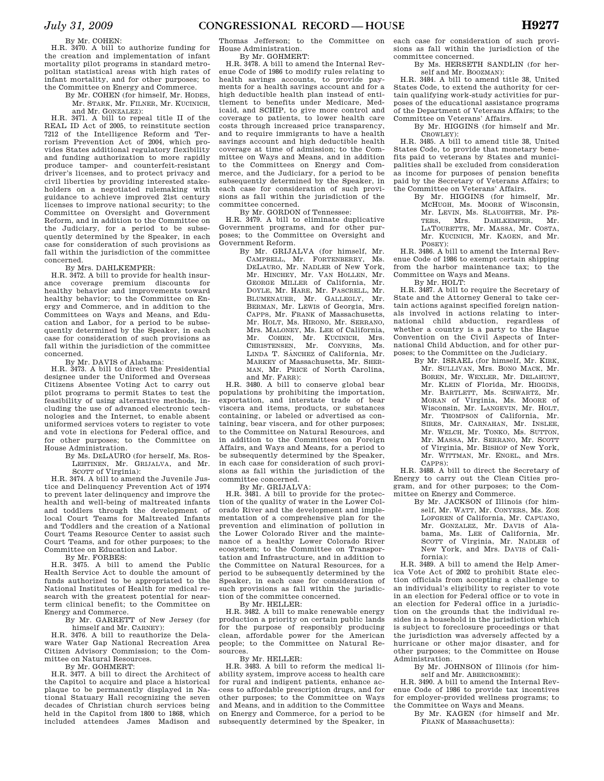By Mr. COHEN:

H.R. 3470. A bill to authorize funding for the creation and implementation of infant mortality pilot programs in standard metropolitan statistical areas with high rates of infant mortality, and for other purposes; to the Committee on Energy and Commerce.

#### By Mr. COHEN (for himself, Mr. HODES, Mr. STARK, Mr. FILNER, Mr. KUCINICH,

and Mr. GONZALEZ): H.R. 3471. A bill to repeal title II of the REAL ID Act of 2005, to reinstitute section 7212 of the Intelligence Reform and Terrorism Prevention Act of 2004, which provides States additional regulatory flexibility and funding authorization to more rapidly produce tamper- and counterfeit-resistant driver's licenses, and to protect privacy and civil liberties by providing interested stakeholders on a negotiated rulemaking with guidance to achieve improved 21st century licenses to improve national security; to the Committee on Oversight and Government Reform, and in addition to the Committee on the Judiciary, for a period to be subsequently determined by the Speaker, in each case for consideration of such provisions as fall within the jurisdiction of the committee concerned.

By Mrs. DAHLKEMPER:

H.R. 3472. A bill to provide for health insurance coverage premium discounts for healthy behavior and improvements toward healthy behavior; to the Committee on Energy and Commerce, and in addition to the Committees on Ways and Means, and Education and Labor, for a period to be subsequently determined by the Speaker, in each case for consideration of such provisions as fall within the jurisdiction of the committee concerned.

By Mr. DAVIS of Alabama:

H.R. 3473. A bill to direct the Presidential designee under the Uniformed and Overseas Citizens Absentee Voting Act to carry out pilot programs to permit States to test the feasibility of using alternative methods, including the use of advanced electronic technologies and the Internet, to enable absent uniformed services voters to register to vote and vote in elections for Federal office, and for other purposes; to the Committee on House Administration.

By Ms. DELAURO (for herself, Ms. ROS-LEHTINEN, Mr. GRIJALVA, and Mr. SCOTT of Virginia):

H.R. 3474. A bill to amend the Juvenile Justice and Delinquency Prevention Act of 1974 to prevent later delinquency and improve the health and well-being of maltreated infants and toddlers through the development of local Court Teams for Maltreated Infants and Toddlers and the creation of a National Court Teams Resource Center to assist such Court Teams, and for other purposes; to the Committee on Education and Labor.

By Mr. FORBES:

H.R. 3475. A bill to amend the Public Health Service Act to double the amount of funds authorized to be appropriated to the National Institutes of Health for medical research with the greatest potential for nearterm clinical benefit; to the Committee on Energy and Commerce.

> By Mr. GARRETT of New Jersey (for himself and Mr. CARNEY):

H.R. 3476. A bill to reauthorize the Delaware Water Gap National Recreation Area Citizen Advisory Commission; to the Committee on Natural Resources.

By Mr. GOHMERT:

H.R. 3477. A bill to direct the Architect of the Capitol to acquire and place a historical plaque to be permanently displayed in National Statuary Hall recognizing the seven decades of Christian church services being held in the Capitol from 1800 to 1868, which included attendees James Madison and

Thomas Jefferson; to the Committee on House Administration.

By Mr. GOHMERT: H.R. 3478. A bill to amend the Internal Revenue Code of 1986 to modify rules relating to health savings accounts, to provide payments for a health savings account and for a high deductible health plan instead of entitlement to benefits under Medicare, Medicaid, and SCHIP, to give more control and coverage to patients, to lower health care costs through increased price transparency, and to require immigrants to have a health savings account and high deductible health coverage at time of admission; to the Committee on Ways and Means, and in addition to the Committees on Energy and Commerce, and the Judiciary, for a period to be subsequently determined by the Speaker, in each case for consideration of such provisions as fall within the jurisdiction of the committee concerned.

By Mr. GORDON of Tennessee:

H.R. 3479. A bill to eliminate duplicative Government programs, and for other purposes; to the Committee on Oversight and Government Reform.

By Mr. GRIJALVA (for himself, Mr. CAMPBELL, Mr. FORTENBERRY, Ms. DELAURO, Mr. NADLER of New York, Mr. HINCHEY, Mr. VAN HOLLEN, Mr. GEORGE MILLER of California, Mr. DOYLE, Mr. HARE, Mr. PASCRELL, Mr. BLUMENAUER, Mr. GALLEGLY, Mr. BERMAN, Mr. LEWIS of Georgia, Mrs. CAPPS, Mr. FRANK of Massachusetts, Mr. HOLT, Ms. HIRONO, Mr. SERRANO, Mrs. MALONEY, Ms. LEE of California, Mr. COHEN, Mr. KUCINICH, Mrs.<br>CHRISTENSEN, Mr. CONYERS, Ms. CHRISTENSEN, Mr. LINDA T. SÁNCHEZ of California, Mr. MARKEY of Massachusetts, Mr. SHER-MAN, Mr. PRICE of North Carolina, and Mr. FARR):

H.R. 3480. A bill to conserve global bear populations by prohibiting the importation, exportation, and interstate trade of bear viscera and items, products, or substances containing, or labeled or advertised as containing, bear viscera, and for other purposes; to the Committee on Natural Resources, and in addition to the Committees on Foreign Affairs, and Ways and Means, for a period to be subsequently determined by the Speaker, in each case for consideration of such provisions as fall within the jurisdiction of the committee concerned.

By Mr. GRIJALVA:

H.R. 3481. A bill to provide for the protection of the quality of water in the Lower Colorado River and the development and implementation of a comprehensive plan for the prevention and elimination of pollution in the Lower Colorado River and the maintenance of a healthy Lower Colorado River ecosystem; to the Committee on Transportation and Infrastructure, and in addition to the Committee on Natural Resources, for a period to be subsequently determined by the Speaker, in each case for consideration of such provisions as fall within the jurisdiction of the committee concerned.

By Mr. HELLER:

H.R. 3482. A bill to make renewable energy production a priority on certain public lands for the purpose of responsibly producing clean, affordable power for the American people; to the Committee on Natural Resources.

By Mr. HELLER:

H.R. 3483. A bill to reform the medical liability system, improve access to health care for rural and indigent patients, enhance access to affordable prescription drugs, and for other purposes; to the Committee on Ways and Means, and in addition to the Committee on Energy and Commerce, for a period to be subsequently determined by the Speaker, in

each case for consideration of such provisions as fall within the jurisdiction of the committee concerned.

By Ms. HERSETH SANDLIN (for herself and Mr. BOOZMAN):

H.R. 3484. A bill to amend title 38, United States Code, to extend the authority for certain qualifying work-study activities for purposes of the educational assistance programs of the Department of Veterans Affairs; to the Committee on Veterans' Affairs.

By Mr. HIGGINS (for himself and Mr. CROWLEY):

H.R. 3485. A bill to amend title 38, United States Code, to provide that monetary benefits paid to veterans by States and municipalities shall be excluded from consideration as income for purposes of pension benefits paid by the Secretary of Veterans Affairs; to the Committee on Veterans' Affairs.

By Mr. HIGGINS (for himself, Mr. MCHUGH, Ms. MOORE of Wisconsin, Mr. LEVIN, Ms. SLAUGHTER, Mr. PE-TERS, Mrs. DAHLKEMPER, Mr. DAHLKEMPER, Mr. LATOURETTE, Mr. MASSA, Mr. COSTA, Mr. KUCINICH, Mr. KAGEN, and Mr. POSEY):

H.R. 3486. A bill to amend the Internal Revenue Code of 1986 to exempt certain shipping from the harbor maintenance tax; to the Committee on Ways and Means.

By Mr. HOLT: H.R. 3487. A bill to require the Secretary of State and the Attorney General to take certain actions against specified foreign nationals involved in actions relating to international child abduction, regardless of whether a country is a party to the Hague Convention on the Civil Aspects of International Child Abduction, and for other purposes; to the Committee on the Judiciary.

By Mr. ISRAEL (for himself, Mr. KIRK,

Mr. SULLIVAN, Mrs. BONO MACK, Mr. BOREN, Mr. WEXLER, Mr. DELAHUNT, Mr. KLEIN of Florida, Mr. HIGGINS, Mr. BARTLETT, Ms. SCHWARTZ, Mr. MORAN of Virginia, Ms. MOORE of Wisconsin, Mr. LANGEVIN, Mr. HOLT, Mr. THOMPSON of California, Mr. SIRES, Mr. CARNAHAN, Mr. INSLEE, Mr. WELCH, Mr. TONKO, Ms. SUTTON, Mr. MASSA, Mr. SERRANO, Mr. SCOTT of Virginia, Mr. BISHOP of New York, Mr. WITTMAN, Mr. ENGEL, and Mrs. CAPPS):

H.R. 3488. A bill to direct the Secretary of Energy to carry out the Clean Cities program, and for other purposes; to the Committee on Energy and Commerce.

By Mr. JACKSON of Illinois (for himself, Mr. WATT, Mr. CONYERS, Ms. ZOE LOFGREN of California, Mr. CAPUANO, Mr. GONZALEZ, Mr. DAVIS of Alabama, Ms. LEE of California, Mr. SCOTT of Virginia, Mr. NADLER of New York, and Mrs. DAVIS of California):

H.R. 3489. A bill to amend the Help America Vote Act of 2002 to prohibit State election officials from accepting a challenge to an individual's eligibility to register to vote in an election for Federal office or to vote in an election for Federal office in a jurisdiction on the grounds that the individual resides in a household in the jurisdiction which is subject to foreclosure proceedings or that the jurisdiction was adversely affected by a hurricane or other major disaster, and for other purposes; to the Committee on House Administration.

By Mr. JOHNSON of Illinois (for himself and Mr. ABERCROMBIE):

H.R. 3490. A bill to amend the Internal Revenue Code of 1986 to provide tax incentives for employer-provided wellness programs; to the Committee on Ways and Means.

By Mr. KAGEN (for himself and Mr. FRANK of Massachusetts):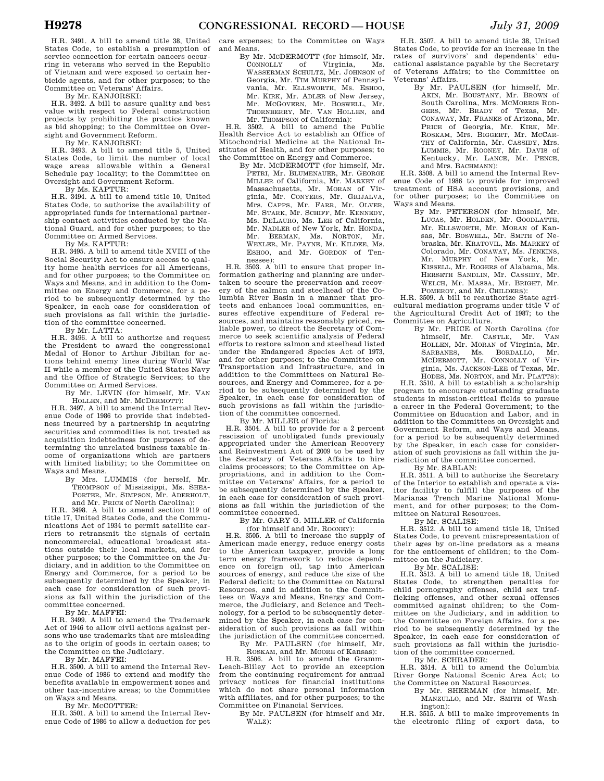H.R. 3491. A bill to amend title 38, United States Code, to establish a presumption of service connection for certain cancers occurring in veterans who served in the Republic of Vietnam and were exposed to certain herbicide agents, and for other purposes; to the Committee on Veterans' Affairs.

By Mr. KANJORSKI:

H.R. 3492. A bill to assure quality and best value with respect to Federal construction projects by prohibiting the practice known as bid shopping; to the Committee on Oversight and Government Reform.

By Mr. KANJORSKI:

H.R. 3493. A bill to amend title 5, United States Code, to limit the number of local wage areas allowable within a General Schedule pay locality; to the Committee on Oversight and Government Reform.

By Ms. KAPTUR:

H.R. 3494. A bill to amend title 10, United States Code, to authorize the availability of appropriated funds for international partnership contact activities conducted by the National Guard, and for other purposes; to the Committee on Armed Services.

By Ms. KAPTUR:

H.R. 3495. A bill to amend title XVIII of the Social Security Act to ensure access to quality home health services for all Americans, and for other purposes; to the Committee on Ways and Means, and in addition to the Committee on Energy and Commerce, for a period to be subsequently determined by the Speaker, in each case for consideration of such provisions as fall within the jurisdiction of the committee concerned.

By Mr. LATTA:

H.R. 3496. A bill to authorize and request the President to award the congressional Medal of Honor to Arthur Jibilian for actions behind enemy lines during World War II while a member of the United States Navy and the Office of Strategic Services; to the Committee on Armed Services.

> By Mr. LEVIN (for himself, Mr. VAN HOLLEN, and Mr. MCDERMOTT):

H.R. 3497. A bill to amend the Internal Revenue Code of 1986 to provide that indebtedness incurred by a partnership in acquiring securities and commodities is not treated as acquisition indebtedness for purposes of determining the unrelated business taxable income of organizations which are partners with limited liability; to the Committee on Ways and Means.

By Mrs. LUMMIS (for herself, Mr. THOMPSON of Mississippi, Ms. SHEA-PORTER, Mr. SIMPSON, Mr. ADERHOLT, and Mr. PRICE of North Carolina):

H.R. 3498. A bill to amend section 119 of title 17, United States Code, and the Communications Act of 1934 to permit satellite carriers to retransmit the signals of certain noncommercial, educational broadcast stations outside their local markets, and for other purposes; to the Committee on the Judiciary, and in addition to the Committee on Energy and Commerce, for a period to be subsequently determined by the Speaker, in each case for consideration of such provisions as fall within the jurisdiction of the committee concerned.

By Mr. MAFFEI:

H.R. 3499. A bill to amend the Trademark Act of 1946 to allow civil actions against persons who use trademarks that are misleading as to the origin of goods in certain cases; to the Committee on the Judiciary.

By Mr. MAFFEI:

H.R. 3500. A bill to amend the Internal Revenue Code of 1986 to extend and modify the benefits available in empowerment zones and other tax-incentive areas; to the Committee on Ways and Means.

By Mr. MCCOTTER:

H.R. 3501. A bill to amend the Internal Revenue Code of 1986 to allow a deduction for pet

care expenses; to the Committee on Ways and Means.

By Mr. MCDERMOTT (for himself, Mr.<br>CONNOLLY of Virginia. Ms. Virginia, Ms. WASSERMAN SCHULTZ, Mr. JOHNSON of Georgia, Mr. TIM MURPHY of Pennsylvania, Mr. ELLSWORTH, Ms. ESHOO, Mr. KIRK, Mr. ADLER of New Jersey, Mr. MCGOVERN, Mr. BOSWELL, Mr. THORNBERRY, Mr. VAN HOLLEN, and Mr. THOMPSON of California):

H.R. 3502. A bill to amend the Public Health Service Act to establish an Office of Mitochondrial Medicine at the National Institutes of Health, and for other purposes; to the Committee on Energy and Commerce.

> By Mr. MCDERMOTT (for himself, Mr. PETRI, Mr. BLUMENAUER, Mr. GEORGE MILLER of California, Mr. MARKEY of Massachusetts, Mr. MORAN of Virginia, Mr. CONYERS, Mr. GRIJALVA, Mrs. CAPPS, Mr. FARR, Mr. OLVER, Mr. STARK, Mr. SCHIFF, Mr. KENNEDY, Ms. DELAURO, Ms. LEE of California, Mr. NADLER of New York, Mr. HONDA, Mr. BERMAN, Ms. NORTON, Mr. WEXLER, Mr. PAYNE, Mr. KILDEE, Ms. ESHOO, and Mr. GORDON of Tennessee):

H.R. 3503. A bill to ensure that proper information gathering and planning are undertaken to secure the preservation and recovery of the salmon and steelhead of the Columbia River Basin in a manner that protects and enhances local communities, ensures effective expenditure of Federal resources, and maintains reasonably priced, reliable power, to direct the Secretary of Commerce to seek scientific analysis of Federal efforts to restore salmon and steelhead listed under the Endangered Species Act of 1973, and for other purposes; to the Committee on Transportation and Infrastructure, and in addition to the Committees on Natural Resources, and Energy and Commerce, for a period to be subsequently determined by the Speaker, in each case for consideration of such provisions as fall within the jurisdiction of the committee concerned.

By Mr. MILLER of Florida:

H.R. 3504. A bill to provide for a 2 percent rescission of unobligated funds previously appropriated under the American Recovery and Reinvestment Act of 2009 to be used by the Secretary of Veterans Affairs to hire claims processors; to the Committee on Appropriations, and in addition to the Committee on Veterans' Affairs, for a period to be subsequently determined by the Speaker, in each case for consideration of such provisions as fall within the jurisdiction of the committee concerned.

By Mr. GARY G. MILLER of California (for himself and Mr. ROONEY):

H.R. 3505. A bill to increase the supply of American made energy, reduce energy costs to the American taxpayer, provide a long term energy framework to reduce dependence on foreign oil, tap into American sources of energy, and reduce the size of the Federal deficit; to the Committee on Natural Resources, and in addition to the Committees on Ways and Means, Energy and Commerce, the Judiciary, and Science and Technology, for a period to be subsequently determined by the Speaker, in each case for consideration of such provisions as fall within the jurisdiction of the committee concerned. By Mr. PAULSEN (for himself, Mr.

ROSKAM, and Mr. MOORE of Kansas): H.R. 3506. A bill to amend the Gramm-Leach-Bliley Act to provide an exception from the continuing requirement for annual privacy notices for financial institutions which do not share personal information with affiliates, and for other purposes; to the Committee on Financial Services.

By Mr. PAULSEN (for himself and Mr. WALZ):

H.R. 3507. A bill to amend title 38, United States Code, to provide for an increase in the rates of survivors' and dependents' educational assistance payable by the Secretary of Veterans Affairs; to the Committee on Veterans' Affairs.

By Mr. PAULSEN (for himself, Mr. AKIN, Mr. BOUSTANY, Mr. BROWN of South Carolina, Mrs. MCMORRIS ROD-GERS, Mr. BRADY of Texas, Mr. CONAWAY, Mr. FRANKS of Arizona, Mr. PRICE of Georgia, Mr. KIRK, Mr. ROSKAM, Mrs. BIGGERT, Mr. MCCAR-THY of California, Mr. CASSIDY, Mrs. LUMMIS, Mr. ROONEY, Mr. DAVIS of Kentucky, Mr. LANCE, Mr. PENCE, and Mrs. BACHMANN):

H.R. 3508. A bill to amend the Internal Revenue Code of 1986 to provide for improved treatment of HSA account provisions, and for other purposes; to the Committee on Ways and Means.

By Mr. PETERSON (for himself, Mr. LUCAS, Mr. HOLDEN, Mr. GOODLATTE, Mr. ELLSWORTH, Mr. MORAN of Kansas, Mr. BOSWELL, Mr. SMITH of Nebraska, Mr. KRATOVIL, Ms. MARKEY of Colorado, Mr. CONAWAY, Ms. JENKINS, Mr. MURPHY of New York, Mr. KISSELL, Mr. ROGERS of Alabama, Ms. HERSETH SANDLIN, Mr. CASSIDY, Mr. WELCH, Mr. MASSA, Mr. BRIGHT, Mr.

POMEROY, and Mr. CHILDERS): H.R. 3509. A bill to reauthorize State agricultural mediation programs under title V of the Agricultural Credit Act of 1987; to the Committee on Agriculture.

By Mr. PRICE of North Carolina (for himself, Mr. CASTLE, Mr. VAN HOLLEN, Mr. MORAN of Virginia, Mr. SARBANES, Ms. BORDALLO, Mr. MCDERMOTT, Mr. CONNOLLY of Virginia, Ms. JACKSON-LEE of Texas, Mr. HODES, Ms. NORTON, and Mr. PLATTS):

H.R. 3510. A bill to establish a scholarship program to encourage outstanding graduate students in mission-critical fields to pursue a career in the Federal Government; to the Committee on Education and Labor, and in addition to the Committees on Oversight and Government Reform, and Ways and Means, for a period to be subsequently determined by the Speaker, in each case for consideration of such provisions as fall within the jurisdiction of the committee concerned.

By Mr. SABLAN:

H.R. 3511. A bill to authorize the Secretary of the Interior to establish and operate a visitor facility to fulfill the purposes of the Marianas Trench Marine National Monument, and for other purposes; to the Committee on Natural Resources.

By Mr. SCALISE: H.R. 3512. A bill to amend title 18, United States Code, to prevent misrepresentation of their ages by on-line predators as a means for the enticement of children; to the Committee on the Judiciary.

By Mr. SCALISE:

H.R. 3513. A bill to amend title 18, United States Code, to strengthen penalties for child pornography offenses, child sex trafficking offenses, and other sexual offenses committed against children; to the Committee on the Judiciary, and in addition to the Committee on Foreign Affairs, for a period to be subsequently determined by the Speaker, in each case for consideration of such provisions as fall within the jurisdiction of the committee concerned.

By Mr. SCHRADER: H.R. 3514. A bill to amend the Columbia River Gorge National Scenic Area Act; to the Committee on Natural Resources.

By Mr. SHERMAN (for himself, Mr. MANZULLO, and Mr. SMITH of Washington):

H.R. 3515. A bill to make improvements in the electronic filing of export data, to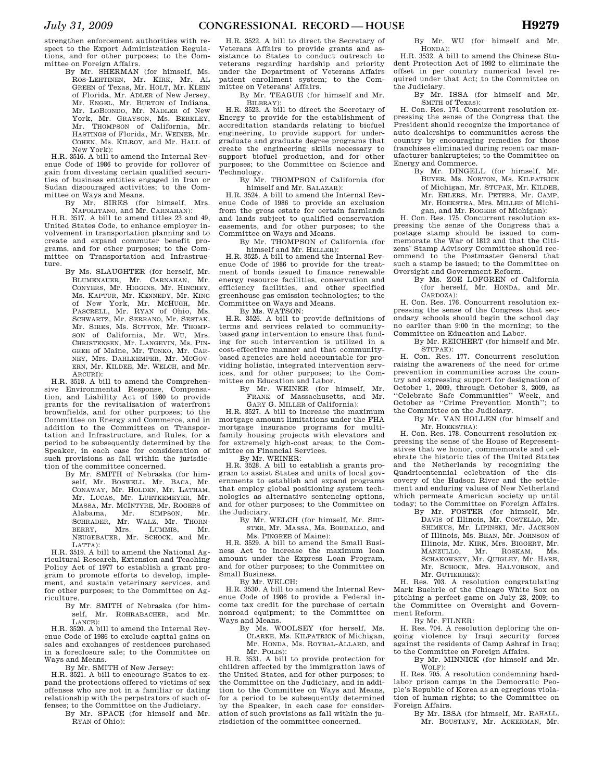strengthen enforcement authorities with respect to the Export Administration Regulations, and for other purposes; to the Committee on Foreign Affairs.

By Mr. SHERMAN (for himself, Ms. ROS-LEHTINEN, Mr. KIRK, Mr. AL GREEN of Texas, Mr. HOLT, Mr. KLEIN of Florida, Mr. ADLER of New Jersey, Mr. ENGEL, Mr. BURTON of Indiana, Mr. LOBIONDO, Mr. NADLER of New York, Mr. GRAYSON, Ms. BERKLEY, Mr. THOMPSON of California, Mr. HASTINGS of Florida, Mr. WEINER, Mr. COHEN, Ms. KILROY, and Mr. HALL of New York):

H.R. 3516. A bill to amend the Internal Revenue Code of 1986 to provide for rollover of gain from divesting certain qualified securities of business entities engaged in Iran or Sudan discouraged activities; to the Committee on Ways and Means.

By Mr. SIRES (for himself, Mrs. NAPOLITANO, and Mr. CARNAHAN):

H.R. 3517. A bill to amend titles 23 and 49, United States Code, to enhance employer involvement in transportation planning and to create and expand commuter benefit programs, and for other purposes; to the Committee on Transportation and Infrastructure.

By Ms. SLAUGHTER (for herself, Mr. BLUMENAUER, Mr. CARNAHAN, Mr. CONYERS, Mr. HIGGINS, Mr. HINCHEY, Ms. KAPTUR, Mr. KENNEDY, Mr. KING of New York, Mr. MCHUGH, Mr. PASCRELL, Mr. RYAN of Ohio, Ms. SCHWARTZ, Mr. SERRANO, Mr. SESTAK, Mr. SIRES, Ms. SUTTON, Mr. THOMP-SON of California, Mr. WU, Mrs. CHRISTENSEN, Mr. LANGEVIN, Ms. PIN-GREE of Maine, Mr. TONKO, Mr. CAR-NEY, Mrs. DAHLKEMPER, Mr. MCGOV-ERN, Mr. KILDEE, Mr. WELCH, and Mr. ARCURI):

H.R. 3518. A bill to amend the Comprehensive Environmental Response, Compensa-tion, and Liability Act of 1980 to provide grants for the revitalization of waterfront brownfields, and for other purposes; to the Committee on Energy and Commerce, and in addition to the Committees on Transportation and Infrastructure, and Rules, for a period to be subsequently determined by the Speaker, in each case for consideration of such provisions as fall within the jurisdiction of the committee concerned.

By Mr. SMITH of Nebraska (for himself, Mr. BOSWELL, Mr. BACA, Mr. CONAWAY, Mr. HOLDEN, Mr. LATHAM, Mr. LUCAS, Mr. LUETKEMEYER, Mr. MASSA, Mr. MCINTYRE, Mr. ROGERS of Alabama, Mr. SIMPSON, Mr. SCHRADER, Mr. WALZ, Mr. THORN-BERRY, Mrs. LUMMIS, Mr. NEUGEBAUER, Mr. SCHOCK, and Mr. LATTA):

H.R. 3519. A bill to amend the National Agricultural Research, Extension and Teaching Policy Act of 1977 to establish a grant program to promote efforts to develop, implement, and sustain veterinary services, and for other purposes; to the Committee on Agriculture.

By Mr. SMITH of Nebraska (for himself, Mr. ROHRABACHER, and Mr. LANCE):

H.R. 3520. A bill to amend the Internal Revenue Code of 1986 to exclude capital gains on sales and exchanges of residences purchased in a foreclosure sale; to the Committee on Ways and Means.

By Mr. SMITH of New Jersey:

H.R. 3521. A bill to encourage States to expand the protections offered to victims of sex offenses who are not in a familiar or dating relationship with the perpetrators of such offenses; to the Committee on the Judiciary.

By Mr. SPACE (for himself and Mr. RYAN of Ohio):

H.R. 3522. A bill to direct the Secretary of Veterans Affairs to provide grants and assistance to States to conduct outreach to veterans regarding hardship and priority under the Department of Veterans Affairs patient enrollment system; to the Committee on Veterans' Affairs.

By Mr. TEAGUE (for himself and Mr. BILBRAY):

H.R. 3523. A bill to direct the Secretary of Energy to provide for the establishment of accreditation standards relating to biofuel engineering, to provide support for undergraduate and graduate degree programs that create the engineering skills necessary to support biofuel production, and for other purposes; to the Committee on Science and Technology.

By Mr. THOMPSON of California (for himself and Mr. SALAZAR):

H.R. 3524. A bill to amend the Internal Revenue Code of 1986 to provide an exclusion from the gross estate for certain farmlands and lands subject to qualified conservation easements, and for other purposes; to the Committee on Ways and Means.

By Mr. THOMPSON of California (for himself and Mr. HELLER):

H.R. 3525. A bill to amend the Internal Revenue Code of 1986 to provide for the treatment of bonds issued to finance renewable energy resource facilities, conservation and efficiency facilities, and other specified greenhouse gas emission technologies; to the Committee on Ways and Means.

By Ms. WATSON:

H.R. 3526. A bill to provide definitions of terms and services related to communitybased gang intervention to ensure that funding for such intervention is utilized in a cost-effective manner and that communitybased agencies are held accountable for providing holistic, integrated intervention services, and for other purposes; to the Committee on Education and Labor.

By Mr. WEINER (for himself, Mr. FRANK of Massachusetts, and Mr. GARY G. MILLER of California):

H.R. 3527. A bill to increase the maximum mortgage amount limitations under the FHA mortgage insurance programs for multifamily housing projects with elevators and for extremely high-cost areas; to the Committee on Financial Services.

By Mr. WEINER:

H.R. 3528. A bill to establish a grants program to assist States and units of local governments to establish and expand programs that employ global positioning system technologies as alternative sentencing options, and for other purposes; to the Committee on the Judiciary.

By Mr. WELCH (for himself, Mr. SHU-STER, Mr. MASSA, Ms. BORDALLO, and Ms. PINGREE of Maine):

H.R. 3529. A bill to amend the Small Business Act to increase the maximum loan amount under the Express Loan Program, and for other purposes; to the Committee on

Small Business. By Mr. WELCH:

H.R. 3530. A bill to amend the Internal Revenue Code of 1986 to provide a Federal income tax credit for the purchase of certain nonroad equipment; to the Committee on Ways and Means.

By Ms. WOOLSEY (for herself, Ms. CLARKE, Ms. KILPATRICK of Michigan, Mr. HONDA, Ms. ROYBAL-ALLARD, and Mr. POLIS):

H.R. 3531. A bill to provide protection for children affected by the immigration laws of the United States, and for other purposes; to the Committee on the Judiciary, and in addition to the Committee on Ways and Means, for a period to be subsequently determined by the Speaker, in each case for consideration of such provisions as fall within the jurisdiction of the committee concerned.

By Mr. WU (for himself and Mr. HONDA):

H.R. 3532. A bill to amend the Chinese Student Protection Act of 1992 to eliminate the offset in per country numerical level required under that Act; to the Committee on the Judiciary.

By Mr. ISSA (for himself and Mr. SMITH of Texas):

H. Con. Res. 174. Concurrent resolution expressing the sense of the Congress that the President should recognize the importance of auto dealerships to communities across the country by encouraging remedies for those franchises eliminated during recent car manufacturer bankruptcies; to the Committee on Energy and Commerce.

By Mr. DINGELL (for himself, Mr. BUYER, Ms. NORTON, Ms. KILPATRICK of Michigan, Mr. STUPAK, Mr. KILDEE, Mr. EHLERS, Mr. PETERS, Mr. CAMP, Mr. HOEKSTRA, Mrs. MILLER of Michigan, and Mr. ROGERS of Michigan):

H. Con. Res. 175. Concurrent resolution expressing the sense of the Congress that a postage stamp should be issued to commemorate the War of 1812 and that the Citizens' Stamp Advisory Committee should recommend to the Postmaster General that such a stamp be issued; to the Committee on Oversight and Government Reform.

By Ms. ZOE LOFGREN of California (for herself, Mr. HONDA, and Mr. CARDOZA):

H. Con. Res. 176. Concurrent resolution expressing the sense of the Congress that secondary schools should begin the school day no earlier than 9:00 in the morning; to the Committee on Education and Labor.

By Mr. REICHERT (for himself and Mr. STUPAK):

H. Con. Res. 177. Concurrent resolution raising the awareness of the need for crime prevention in communities across the country and expressing support for designation of October 1, 2009, through October 3, 2009, as ''Celebrate Safe Communities'' Week, and October as ''Crime Prevention Month''; to the Committee on the Judiciary.

By Mr. VAN HOLLEN (for himself and Mr. HOEKSTRA):

H. Con. Res. 178. Concurrent resolution expressing the sense of the House of Representatives that we honor, commemorate and celebrate the historic ties of the United States and the Netherlands by recognizing the Quadricentennial celebration of the discovery of the Hudson River and the settlement and enduring values of New Netherland which permeate American society up until today; to the Committee on Foreign Affairs.

By Mr. FOSTER (for himself, Mr. DAVIS of Illinois, Mr. COSTELLO, Mr. SHIMKUS, Mr. LIPINSKI, Mr. JACKSON of Illinois, Ms. BEAN, Mr. JOHNSON of Illinois, Mr. KIRK, Mrs. BIGGERT, Mr. MANZULLO, Mr. ROSKAM, Ms. SCHAKOWSKY, Mr. QUIGLEY, Mr. HARE, Mr. SCHOCK, Mrs. HALVORSON, and Mr. GUTIERREZ):

H. Res. 703. A resolution congratulating Mark Buehrle of the Chicago White Sox on pitching a perfect game on July 23, 2009; to the Committee on Oversight and Government Reform.

By Mr. FILNER:

H. Res. 704. A resolution deploring the ongoing violence by Iraqi security forces against the residents of Camp Ashraf in Iraq; to the Committee on Foreign Affairs.

By Mr. MINNICK (for himself and Mr. WOLF):

H. Res. 705. A resolution condemning hardlabor prison camps in the Democratic People's Republic of Korea as an egregious violation of human rights; to the Committee on Foreign Affairs.

> By Mr. ISSA (for himself, Mr. RAHALL, Mr. BOUSTANY, Mr. ACKERMAN, Mr.